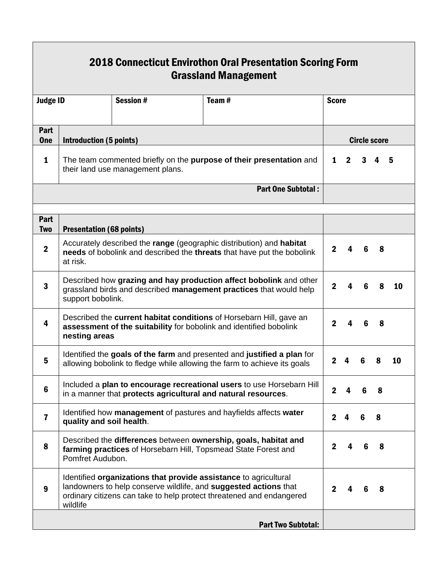| 2018 Connecticut Envirothon Oral Presentation Scoring Form<br><b>Grassland Management</b> |                                                                                                                                                                                                                          |                 |  |                           |  |              |                     |   |   |    |  |  |  |
|-------------------------------------------------------------------------------------------|--------------------------------------------------------------------------------------------------------------------------------------------------------------------------------------------------------------------------|-----------------|--|---------------------------|--|--------------|---------------------|---|---|----|--|--|--|
| <b>Judge ID</b>                                                                           |                                                                                                                                                                                                                          | <b>Session#</b> |  | Team#                     |  | <b>Score</b> |                     |   |   |    |  |  |  |
| Part<br><b>One</b>                                                                        | Introduction (5 points)                                                                                                                                                                                                  |                 |  |                           |  |              | <b>Circle score</b> |   |   |    |  |  |  |
| 1                                                                                         | The team commented briefly on the purpose of their presentation and<br>their land use management plans.                                                                                                                  |                 |  |                           |  | $\mathbf{1}$ | $\overline{2}$      | 3 | 4 | -5 |  |  |  |
|                                                                                           | <b>Part One Subtotal:</b>                                                                                                                                                                                                |                 |  |                           |  |              |                     |   |   |    |  |  |  |
| Part<br><b>Two</b>                                                                        | <b>Presentation (68 points)</b>                                                                                                                                                                                          |                 |  |                           |  |              |                     |   |   |    |  |  |  |
| $\boldsymbol{2}$                                                                          | Accurately described the range (geographic distribution) and habitat<br>needs of bobolink and described the threats that have put the bobolink<br>at risk.                                                               |                 |  |                           |  | $\mathbf{2}$ | 4                   | 6 | 8 |    |  |  |  |
| 3                                                                                         | Described how grazing and hay production affect bobolink and other<br>grassland birds and described management practices that would help<br>support bobolink.                                                            |                 |  |                           |  | $\mathbf{2}$ | 4                   | 6 | 8 | 10 |  |  |  |
| 4                                                                                         | Described the current habitat conditions of Horsebarn Hill, gave an<br>assessment of the suitability for bobolink and identified bobolink<br>nesting areas                                                               |                 |  |                           |  | $\mathbf{2}$ | 4                   | 6 | 8 |    |  |  |  |
| 5                                                                                         | Identified the goals of the farm and presented and justified a plan for<br>allowing bobolink to fledge while allowing the farm to achieve its goals                                                                      |                 |  |                           |  | $\mathbf{2}$ | 4                   | 6 | 8 | 10 |  |  |  |
| 6                                                                                         | Included a plan to encourage recreational users to use Horsebarn Hill<br>in a manner that protects agricultural and natural resources.                                                                                   |                 |  |                           |  | $\mathbf{2}$ |                     | 6 | 8 |    |  |  |  |
| $\overline{\mathbf{r}}$                                                                   | Identified how management of pastures and hayfields affects water<br>quality and soil health.                                                                                                                            |                 |  |                           |  | $\mathbf{2}$ | 4                   | 6 | 8 |    |  |  |  |
| 8                                                                                         | Described the differences between ownership, goals, habitat and<br>farming practices of Horsebarn Hill, Topsmead State Forest and<br>Pomfret Audubon.                                                                    |                 |  |                           |  | $\mathbf{2}$ | 4                   | 6 | 8 |    |  |  |  |
| 9                                                                                         | Identified organizations that provide assistance to agricultural<br>landowners to help conserve wildlife, and suggested actions that<br>ordinary citizens can take to help protect threatened and endangered<br>wildlife |                 |  |                           |  | $\mathbf{2}$ |                     |   | 8 |    |  |  |  |
|                                                                                           |                                                                                                                                                                                                                          |                 |  | <b>Part Two Subtotal:</b> |  |              |                     |   |   |    |  |  |  |